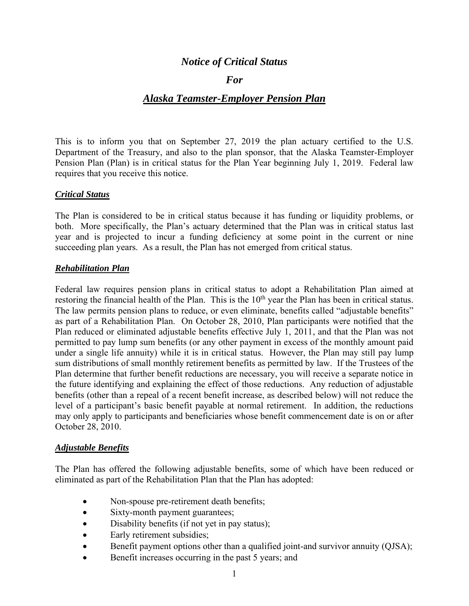# *Notice of Critical Status*

## *For*

# *Alaska Teamster-Employer Pension Plan*

 This is to inform you that on September 27, 2019 the plan actuary certified to the U.S. Pension Plan (Plan) is in critical status for the Plan Year beginning July 1, 2019. Federal law Department of the Treasury, and also to the plan sponsor, that the Alaska Teamster-Employer requires that you receive this notice.

### *Critical Status*

 The Plan is considered to be in critical status because it has funding or liquidity problems, or year and is projected to incur a funding deficiency at some point in the current or nine succeeding plan years. As a result, the Plan has not emerged from critical status. both. More specifically, the Plan's actuary determined that the Plan was in critical status last

### *Rehabilitation Plan*

 Federal law requires pension plans in critical status to adopt a Rehabilitation Plan aimed at restoring the financial health of the Plan. This is the 10<sup>th</sup> year the Plan has been in critical status. restoring the financial health of the Plan. This is the 10<sup>th</sup> year the Plan has been in critical status.<br>The law permits pension plans to reduce, or even eliminate, benefits called "adjustable benefits" as part of a Rehabilitation Plan. On October 28, 2010, Plan participants were notified that the Plan reduced or eliminated adjustable benefits effective July 1, 2011, and that the Plan was not permitted to pay lump sum benefits (or any other payment in excess of the monthly amount paid under a single life annuity) while it is in critical status. However, the Plan may still pay lump sum distributions of small monthly retirement benefits as permitted by law. If the Trustees of the Plan determine that further benefit reductions are necessary, you will receive a separate notice in benefits (other than a repeal of a recent benefit increase, as described below) will not reduce the the future identifying and explaining the effect of those reductions. Any reduction of adjustable level of a participant's basic benefit payable at normal retirement. In addition, the reductions may only apply to participants and beneficiaries whose benefit commencement date is on or after October 28, 2010.

#### *Adjustable Benefits*

The Plan has offered the following adjustable benefits, some of which have been reduced or eliminated as part of the Rehabilitation Plan that the Plan has adopted:

- Non-spouse pre-retirement death benefits;
- Sixty-month payment guarantees;
- Disability benefits (if not yet in pay status);
- Early retirement subsidies;
- Benefit payment options other than a qualified joint-and survivor annuity (QJSA);
- Benefit increases occurring in the past 5 years; and